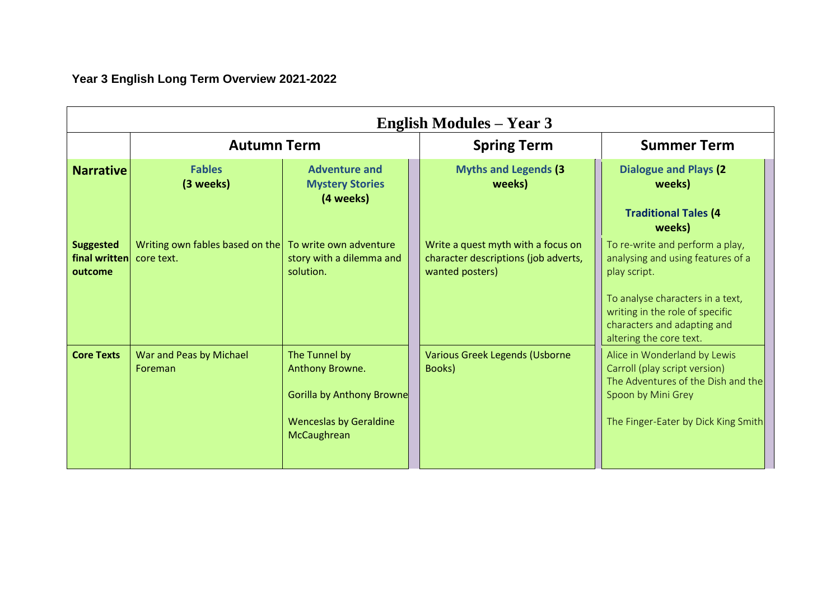**Year 3 English Long Term Overview 2021-2022**

| <b>Narrative</b>                             | <b>Autumn Term</b>                            |                                                                                                                      | <b>Spring Term</b>                                                                            | <b>Summer Term</b>                                                                                                                                                                                                    |  |
|----------------------------------------------|-----------------------------------------------|----------------------------------------------------------------------------------------------------------------------|-----------------------------------------------------------------------------------------------|-----------------------------------------------------------------------------------------------------------------------------------------------------------------------------------------------------------------------|--|
|                                              | <b>Fables</b><br>(3 weeks)                    | <b>Adventure and</b><br><b>Mystery Stories</b><br>(4 weeks)                                                          | <b>Myths and Legends (3)</b><br>weeks)                                                        | <b>Dialogue and Plays (2)</b><br>weeks)<br><b>Traditional Tales (4</b><br>weeks)                                                                                                                                      |  |
| <b>Suggested</b><br>final written<br>outcome | Writing own fables based on the<br>core text. | To write own adventure<br>story with a dilemma and<br>solution.                                                      | Write a quest myth with a focus on<br>character descriptions (job adverts,<br>wanted posters) | To re-write and perform a play,<br>analysing and using features of a<br>play script.<br>To analyse characters in a text,<br>writing in the role of specific<br>characters and adapting and<br>altering the core text. |  |
| <b>Core Texts</b>                            | War and Peas by Michael<br>Foreman            | The Tunnel by<br>Anthony Browne.<br><b>Gorilla by Anthony Browne</b><br><b>Wenceslas by Geraldine</b><br>McCaughrean | Various Greek Legends (Usborne<br>Books)                                                      | Alice in Wonderland by Lewis<br>Carroll (play script version)<br>The Adventures of the Dish and the<br>Spoon by Mini Grey<br>The Finger-Eater by Dick King Smith                                                      |  |